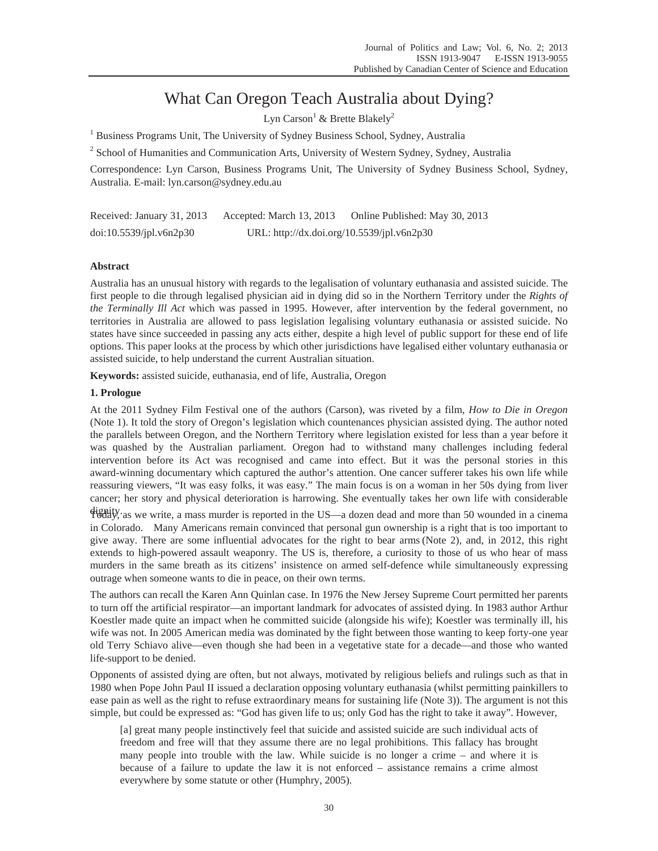# What Can Oregon Teach Australia about Dying?

Lyn Carson<sup>1</sup> & Brette Blakely<sup>2</sup>

<sup>1</sup> Business Programs Unit, The University of Sydney Business School, Sydney, Australia

<sup>2</sup> School of Humanities and Communication Arts, University of Western Sydney, Sydney, Australia

Correspondence: Lyn Carson, Business Programs Unit, The University of Sydney Business School, Sydney, Australia. E-mail: lyn.carson@sydney.edu.au

Received: January 31, 2013 Accepted: March 13, 2013 Online Published: May 30, 2013 doi:10.5539/jpl.v6n2p30 URL: http://dx.doi.org/10.5539/jpl.v6n2p30

# **Abstract**

Australia has an unusual history with regards to the legalisation of voluntary euthanasia and assisted suicide. The first people to die through legalised physician aid in dying did so in the Northern Territory under the *Rights of the Terminally Ill Act* which was passed in 1995. However, after intervention by the federal government, no territories in Australia are allowed to pass legislation legalising voluntary euthanasia or assisted suicide. No states have since succeeded in passing any acts either, despite a high level of public support for these end of life options. This paper looks at the process by which other jurisdictions have legalised either voluntary euthanasia or assisted suicide, to help understand the current Australian situation.

**Keywords:** assisted suicide, euthanasia, end of life, Australia, Oregon

# **1. Prologue**

At the 2011 Sydney Film Festival one of the authors (Carson), was riveted by a film, *How to Die in Oregon* (Note 1). It told the story of Oregon's legislation which countenances physician assisted dying. The author noted the parallels between Oregon, and the Northern Territory where legislation existed for less than a year before it was quashed by the Australian parliament. Oregon had to withstand many challenges including federal intervention before its Act was recognised and came into effect. But it was the personal stories in this award-winning documentary which captured the author's attention. One cancer sufferer takes his own life while reassuring viewers, "It was easy folks, it was easy." The main focus is on a woman in her 50s dying from liver cancer; her story and physical deterioration is harrowing. She eventually takes her own life with considerable

dignity. Today, as we write, a mass murder is reported in the US—a dozen dead and more than 50 wounded in a cinema in Colorado. Many Americans remain convinced that personal gun ownership is a right that is too important to give away. There are some influential advocates for the right to bear arms (Note 2), and, in 2012, this right extends to high-powered assault weaponry. The US is, therefore, a curiosity to those of us who hear of mass murders in the same breath as its citizens' insistence on armed self-defence while simultaneously expressing outrage when someone wants to die in peace, on their own terms.

The authors can recall the Karen Ann Quinlan case. In 1976 the New Jersey Supreme Court permitted her parents to turn off the artificial respirator—an important landmark for advocates of assisted dying. In 1983 author Arthur Koestler made quite an impact when he committed suicide (alongside his wife); Koestler was terminally ill, his wife was not. In 2005 American media was dominated by the fight between those wanting to keep forty-one year old Terry Schiavo alive—even though she had been in a vegetative state for a decade—and those who wanted life-support to be denied.

Opponents of assisted dying are often, but not always, motivated by religious beliefs and rulings such as that in 1980 when Pope John Paul II issued a declaration opposing voluntary euthanasia (whilst permitting painkillers to ease pain as well as the right to refuse extraordinary means for sustaining life (Note 3)). The argument is not this simple, but could be expressed as: "God has given life to us; only God has the right to take it away". However,

[a] great many people instinctively feel that suicide and assisted suicide are such individual acts of freedom and free will that they assume there are no legal prohibitions. This fallacy has brought many people into trouble with the law. While suicide is no longer a crime – and where it is because of a failure to update the law it is not enforced – assistance remains a crime almost everywhere by some statute or other (Humphry, 2005).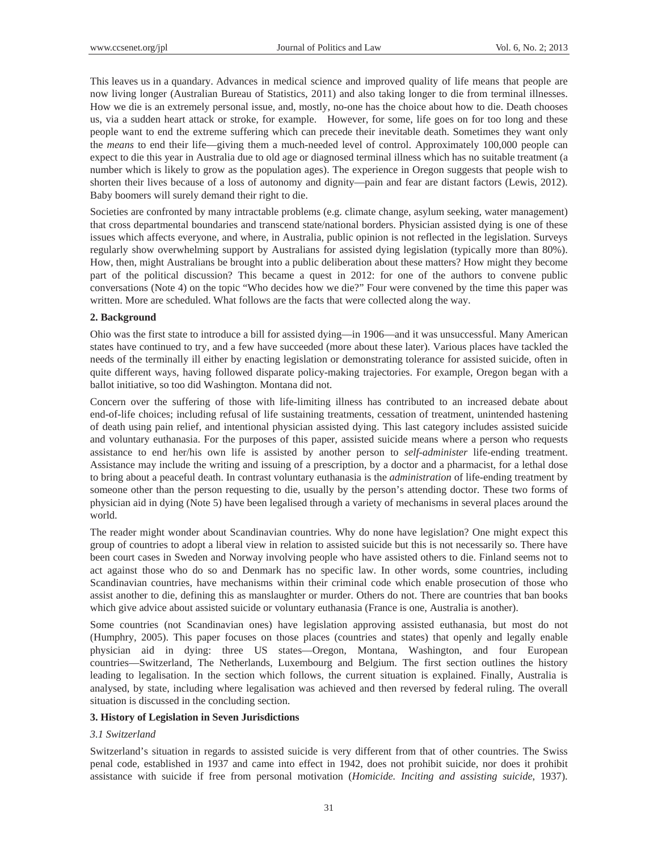This leaves us in a quandary. Advances in medical science and improved quality of life means that people are now living longer (Australian Bureau of Statistics, 2011) and also taking longer to die from terminal illnesses. How we die is an extremely personal issue, and, mostly, no-one has the choice about how to die. Death chooses us, via a sudden heart attack or stroke, for example. However, for some, life goes on for too long and these people want to end the extreme suffering which can precede their inevitable death. Sometimes they want only the *means* to end their life—giving them a much-needed level of control. Approximately 100,000 people can expect to die this year in Australia due to old age or diagnosed terminal illness which has no suitable treatment (a number which is likely to grow as the population ages). The experience in Oregon suggests that people wish to shorten their lives because of a loss of autonomy and dignity—pain and fear are distant factors (Lewis, 2012). Baby boomers will surely demand their right to die.

Societies are confronted by many intractable problems (e.g. climate change, asylum seeking, water management) that cross departmental boundaries and transcend state/national borders. Physician assisted dying is one of these issues which affects everyone, and where, in Australia, public opinion is not reflected in the legislation. Surveys regularly show overwhelming support by Australians for assisted dying legislation (typically more than 80%). How, then, might Australians be brought into a public deliberation about these matters? How might they become part of the political discussion? This became a quest in 2012: for one of the authors to convene public conversations (Note 4) on the topic "Who decides how we die?" Four were convened by the time this paper was written. More are scheduled. What follows are the facts that were collected along the way.

### **2. Background**

Ohio was the first state to introduce a bill for assisted dying—in 1906—and it was unsuccessful. Many American states have continued to try, and a few have succeeded (more about these later). Various places have tackled the needs of the terminally ill either by enacting legislation or demonstrating tolerance for assisted suicide, often in quite different ways, having followed disparate policy-making trajectories. For example, Oregon began with a ballot initiative, so too did Washington. Montana did not.

Concern over the suffering of those with life-limiting illness has contributed to an increased debate about end-of-life choices; including refusal of life sustaining treatments, cessation of treatment, unintended hastening of death using pain relief, and intentional physician assisted dying. This last category includes assisted suicide and voluntary euthanasia. For the purposes of this paper, assisted suicide means where a person who requests assistance to end her/his own life is assisted by another person to *self-administer* life-ending treatment. Assistance may include the writing and issuing of a prescription, by a doctor and a pharmacist, for a lethal dose to bring about a peaceful death. In contrast voluntary euthanasia is the *administration* of life-ending treatment by someone other than the person requesting to die, usually by the person's attending doctor. These two forms of physician aid in dying (Note 5) have been legalised through a variety of mechanisms in several places around the world.

The reader might wonder about Scandinavian countries. Why do none have legislation? One might expect this group of countries to adopt a liberal view in relation to assisted suicide but this is not necessarily so. There have been court cases in Sweden and Norway involving people who have assisted others to die. Finland seems not to act against those who do so and Denmark has no specific law. In other words, some countries, including Scandinavian countries, have mechanisms within their criminal code which enable prosecution of those who assist another to die, defining this as manslaughter or murder. Others do not. There are countries that ban books which give advice about assisted suicide or voluntary euthanasia (France is one, Australia is another).

Some countries (not Scandinavian ones) have legislation approving assisted euthanasia, but most do not (Humphry, 2005). This paper focuses on those places (countries and states) that openly and legally enable physician aid in dying: three US states—Oregon, Montana, Washington, and four European countries—Switzerland, The Netherlands, Luxembourg and Belgium. The first section outlines the history leading to legalisation. In the section which follows, the current situation is explained. Finally, Australia is analysed, by state, including where legalisation was achieved and then reversed by federal ruling. The overall situation is discussed in the concluding section.

#### **3. History of Legislation in Seven Jurisdictions**

#### *3.1 Switzerland*

Switzerland's situation in regards to assisted suicide is very different from that of other countries. The Swiss penal code, established in 1937 and came into effect in 1942, does not prohibit suicide, nor does it prohibit assistance with suicide if free from personal motivation (*Homicide. Inciting and assisting suicide*, 1937).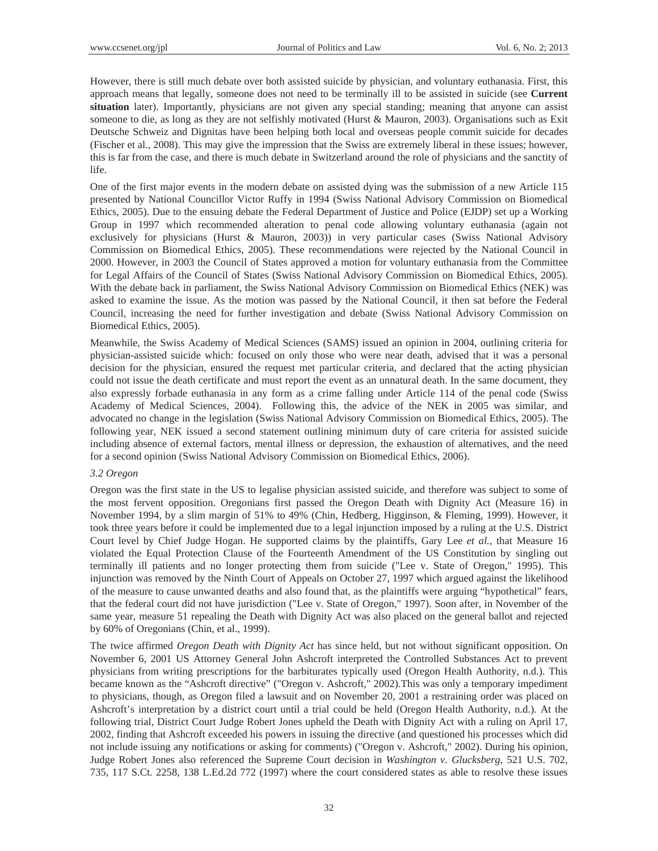However, there is still much debate over both assisted suicide by physician, and voluntary euthanasia. First, this approach means that legally, someone does not need to be terminally ill to be assisted in suicide (see **Current situation** later). Importantly, physicians are not given any special standing; meaning that anyone can assist someone to die, as long as they are not selfishly motivated (Hurst & Mauron, 2003). Organisations such as Exit Deutsche Schweiz and Dignitas have been helping both local and overseas people commit suicide for decades (Fischer et al., 2008). This may give the impression that the Swiss are extremely liberal in these issues; however, this is far from the case, and there is much debate in Switzerland around the role of physicians and the sanctity of life.

One of the first major events in the modern debate on assisted dying was the submission of a new Article 115 presented by National Councillor Victor Ruffy in 1994 (Swiss National Advisory Commission on Biomedical Ethics, 2005). Due to the ensuing debate the Federal Department of Justice and Police (EJDP) set up a Working Group in 1997 which recommended alteration to penal code allowing voluntary euthanasia (again not exclusively for physicians (Hurst & Mauron, 2003)) in very particular cases (Swiss National Advisory Commission on Biomedical Ethics, 2005). These recommendations were rejected by the National Council in 2000. However, in 2003 the Council of States approved a motion for voluntary euthanasia from the Committee for Legal Affairs of the Council of States (Swiss National Advisory Commission on Biomedical Ethics, 2005). With the debate back in parliament, the Swiss National Advisory Commission on Biomedical Ethics (NEK) was asked to examine the issue. As the motion was passed by the National Council, it then sat before the Federal Council, increasing the need for further investigation and debate (Swiss National Advisory Commission on Biomedical Ethics, 2005).

Meanwhile, the Swiss Academy of Medical Sciences (SAMS) issued an opinion in 2004, outlining criteria for physician-assisted suicide which: focused on only those who were near death, advised that it was a personal decision for the physician, ensured the request met particular criteria, and declared that the acting physician could not issue the death certificate and must report the event as an unnatural death. In the same document, they also expressly forbade euthanasia in any form as a crime falling under Article 114 of the penal code (Swiss Academy of Medical Sciences, 2004). Following this, the advice of the NEK in 2005 was similar, and advocated no change in the legislation (Swiss National Advisory Commission on Biomedical Ethics, 2005). The following year, NEK issued a second statement outlining minimum duty of care criteria for assisted suicide including absence of external factors, mental illness or depression, the exhaustion of alternatives, and the need for a second opinion (Swiss National Advisory Commission on Biomedical Ethics, 2006).

#### *3.2 Oregon*

Oregon was the first state in the US to legalise physician assisted suicide, and therefore was subject to some of the most fervent opposition. Oregonians first passed the Oregon Death with Dignity Act (Measure 16) in November 1994, by a slim margin of 51% to 49% (Chin, Hedberg, Higginson, & Fleming, 1999). However, it took three years before it could be implemented due to a legal injunction imposed by a ruling at the U.S. District Court level by Chief Judge Hogan. He supported claims by the plaintiffs, Gary Lee *et al.*, that Measure 16 violated the Equal Protection Clause of the Fourteenth Amendment of the US Constitution by singling out terminally ill patients and no longer protecting them from suicide ("Lee v. State of Oregon," 1995). This injunction was removed by the Ninth Court of Appeals on October 27, 1997 which argued against the likelihood of the measure to cause unwanted deaths and also found that, as the plaintiffs were arguing "hypothetical" fears, that the federal court did not have jurisdiction ("Lee v. State of Oregon," 1997). Soon after, in November of the same year, measure 51 repealing the Death with Dignity Act was also placed on the general ballot and rejected by 60% of Oregonians (Chin, et al., 1999).

The twice affirmed *Oregon Death with Dignity Act* has since held, but not without significant opposition. On November 6, 2001 US Attorney General John Ashcroft interpreted the Controlled Substances Act to prevent physicians from writing prescriptions for the barbiturates typically used (Oregon Health Authority, n.d.). This became known as the "Ashcroft directive" ("Oregon v. Ashcroft," 2002).This was only a temporary impediment to physicians, though, as Oregon filed a lawsuit and on November 20, 2001 a restraining order was placed on Ashcroft's interpretation by a district court until a trial could be held (Oregon Health Authority, n.d.). At the following trial, District Court Judge Robert Jones upheld the Death with Dignity Act with a ruling on April 17, 2002, finding that Ashcroft exceeded his powers in issuing the directive (and questioned his processes which did not include issuing any notifications or asking for comments) ("Oregon v. Ashcroft," 2002). During his opinion, Judge Robert Jones also referenced the Supreme Court decision in *Washington v. Glucksberg*, 521 U.S. 702, 735, 117 S.Ct. 2258, 138 L.Ed.2d 772 (1997) where the court considered states as able to resolve these issues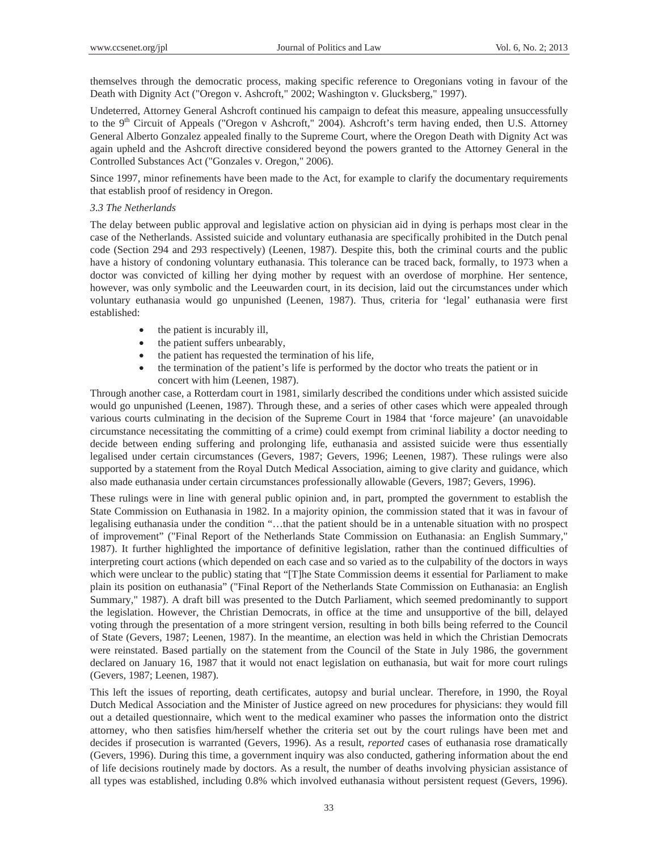themselves through the democratic process, making specific reference to Oregonians voting in favour of the Death with Dignity Act ("Oregon v. Ashcroft," 2002; Washington v. Glucksberg," 1997).

Undeterred, Attorney General Ashcroft continued his campaign to defeat this measure, appealing unsuccessfully to the 9<sup>th</sup> Circuit of Appeals ("Oregon v Ashcroft," 2004). Ashcroft's term having ended, then U.S. Attorney General Alberto Gonzalez appealed finally to the Supreme Court, where the Oregon Death with Dignity Act was again upheld and the Ashcroft directive considered beyond the powers granted to the Attorney General in the Controlled Substances Act ("Gonzales v. Oregon," 2006).

Since 1997, minor refinements have been made to the Act, for example to clarify the documentary requirements that establish proof of residency in Oregon.

## *3.3 The Netherlands*

The delay between public approval and legislative action on physician aid in dying is perhaps most clear in the case of the Netherlands. Assisted suicide and voluntary euthanasia are specifically prohibited in the Dutch penal code (Section 294 and 293 respectively) (Leenen, 1987). Despite this, both the criminal courts and the public have a history of condoning voluntary euthanasia. This tolerance can be traced back, formally, to 1973 when a doctor was convicted of killing her dying mother by request with an overdose of morphine. Her sentence, however, was only symbolic and the Leeuwarden court, in its decision, laid out the circumstances under which voluntary euthanasia would go unpunished (Leenen, 1987). Thus, criteria for 'legal' euthanasia were first established:

- the patient is incurably ill,
- the patient suffers unbearably,
- the patient has requested the termination of his life,
- the termination of the patient's life is performed by the doctor who treats the patient or in concert with him (Leenen, 1987).

Through another case, a Rotterdam court in 1981, similarly described the conditions under which assisted suicide would go unpunished (Leenen, 1987). Through these, and a series of other cases which were appealed through various courts culminating in the decision of the Supreme Court in 1984 that 'force majeure' (an unavoidable circumstance necessitating the committing of a crime) could exempt from criminal liability a doctor needing to decide between ending suffering and prolonging life, euthanasia and assisted suicide were thus essentially legalised under certain circumstances (Gevers, 1987; Gevers, 1996; Leenen, 1987). These rulings were also supported by a statement from the Royal Dutch Medical Association, aiming to give clarity and guidance, which also made euthanasia under certain circumstances professionally allowable (Gevers, 1987; Gevers, 1996).

These rulings were in line with general public opinion and, in part, prompted the government to establish the State Commission on Euthanasia in 1982. In a majority opinion, the commission stated that it was in favour of legalising euthanasia under the condition "…that the patient should be in a untenable situation with no prospect of improvement" ("Final Report of the Netherlands State Commission on Euthanasia: an English Summary," 1987). It further highlighted the importance of definitive legislation, rather than the continued difficulties of interpreting court actions (which depended on each case and so varied as to the culpability of the doctors in ways which were unclear to the public) stating that "[T]he State Commission deems it essential for Parliament to make plain its position on euthanasia" ("Final Report of the Netherlands State Commission on Euthanasia: an English Summary," 1987). A draft bill was presented to the Dutch Parliament, which seemed predominantly to support the legislation. However, the Christian Democrats, in office at the time and unsupportive of the bill, delayed voting through the presentation of a more stringent version, resulting in both bills being referred to the Council of State (Gevers, 1987; Leenen, 1987). In the meantime, an election was held in which the Christian Democrats were reinstated. Based partially on the statement from the Council of the State in July 1986, the government declared on January 16, 1987 that it would not enact legislation on euthanasia, but wait for more court rulings (Gevers, 1987; Leenen, 1987).

This left the issues of reporting, death certificates, autopsy and burial unclear. Therefore, in 1990, the Royal Dutch Medical Association and the Minister of Justice agreed on new procedures for physicians: they would fill out a detailed questionnaire, which went to the medical examiner who passes the information onto the district attorney, who then satisfies him/herself whether the criteria set out by the court rulings have been met and decides if prosecution is warranted (Gevers, 1996). As a result, *reported* cases of euthanasia rose dramatically (Gevers, 1996). During this time, a government inquiry was also conducted, gathering information about the end of life decisions routinely made by doctors. As a result, the number of deaths involving physician assistance of all types was established, including 0.8% which involved euthanasia without persistent request (Gevers, 1996).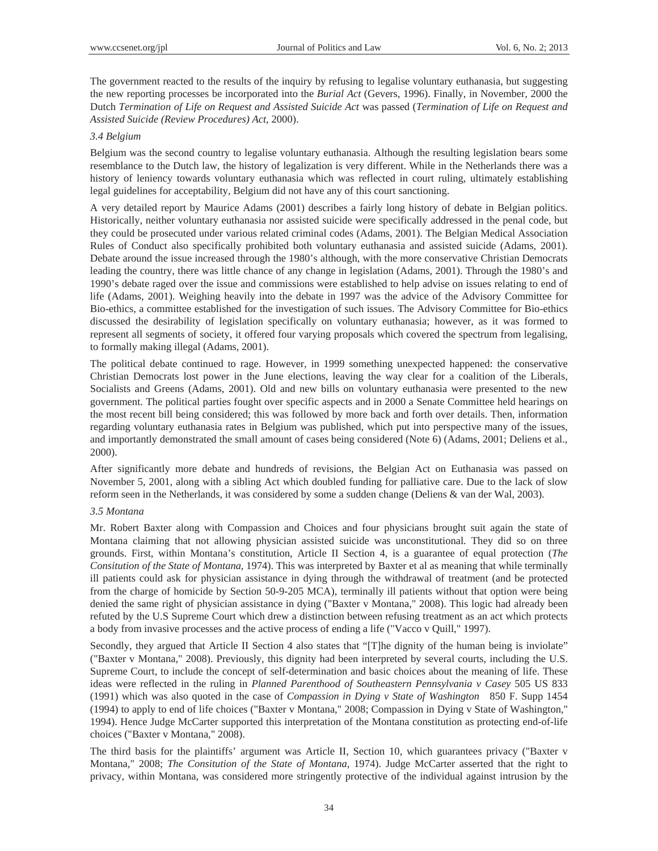The government reacted to the results of the inquiry by refusing to legalise voluntary euthanasia, but suggesting the new reporting processes be incorporated into the *Burial Act* (Gevers, 1996). Finally, in November, 2000 the Dutch *Termination of Life on Request and Assisted Suicide Act* was passed (*Termination of Life on Request and Assisted Suicide (Review Procedures) Act*, 2000).

# *3.4 Belgium*

Belgium was the second country to legalise voluntary euthanasia. Although the resulting legislation bears some resemblance to the Dutch law, the history of legalization is very different. While in the Netherlands there was a history of leniency towards voluntary euthanasia which was reflected in court ruling, ultimately establishing legal guidelines for acceptability, Belgium did not have any of this court sanctioning.

A very detailed report by Maurice Adams (2001) describes a fairly long history of debate in Belgian politics. Historically, neither voluntary euthanasia nor assisted suicide were specifically addressed in the penal code, but they could be prosecuted under various related criminal codes (Adams, 2001). The Belgian Medical Association Rules of Conduct also specifically prohibited both voluntary euthanasia and assisted suicide (Adams, 2001). Debate around the issue increased through the 1980's although, with the more conservative Christian Democrats leading the country, there was little chance of any change in legislation (Adams, 2001). Through the 1980's and 1990's debate raged over the issue and commissions were established to help advise on issues relating to end of life (Adams, 2001). Weighing heavily into the debate in 1997 was the advice of the Advisory Committee for Bio-ethics, a committee established for the investigation of such issues. The Advisory Committee for Bio-ethics discussed the desirability of legislation specifically on voluntary euthanasia; however, as it was formed to represent all segments of society, it offered four varying proposals which covered the spectrum from legalising, to formally making illegal (Adams, 2001).

The political debate continued to rage. However, in 1999 something unexpected happened: the conservative Christian Democrats lost power in the June elections, leaving the way clear for a coalition of the Liberals, Socialists and Greens (Adams, 2001). Old and new bills on voluntary euthanasia were presented to the new government. The political parties fought over specific aspects and in 2000 a Senate Committee held hearings on the most recent bill being considered; this was followed by more back and forth over details. Then, information regarding voluntary euthanasia rates in Belgium was published, which put into perspective many of the issues, and importantly demonstrated the small amount of cases being considered (Note 6) (Adams, 2001; Deliens et al., 2000).

After significantly more debate and hundreds of revisions, the Belgian Act on Euthanasia was passed on November 5, 2001, along with a sibling Act which doubled funding for palliative care. Due to the lack of slow reform seen in the Netherlands, it was considered by some a sudden change (Deliens & van der Wal, 2003).

#### *3.5 Montana*

Mr. Robert Baxter along with Compassion and Choices and four physicians brought suit again the state of Montana claiming that not allowing physician assisted suicide was unconstitutional. They did so on three grounds. First, within Montana's constitution, Article II Section 4, is a guarantee of equal protection (*The Consitution of the State of Montana*, 1974). This was interpreted by Baxter et al as meaning that while terminally ill patients could ask for physician assistance in dying through the withdrawal of treatment (and be protected from the charge of homicide by Section 50-9-205 MCA), terminally ill patients without that option were being denied the same right of physician assistance in dying ("Baxter v Montana," 2008). This logic had already been refuted by the U.S Supreme Court which drew a distinction between refusing treatment as an act which protects a body from invasive processes and the active process of ending a life ("Vacco v Quill," 1997).

Secondly, they argued that Article II Section 4 also states that "[T]he dignity of the human being is inviolate" ("Baxter v Montana," 2008). Previously, this dignity had been interpreted by several courts, including the U.S. Supreme Court, to include the concept of self-determination and basic choices about the meaning of life. These ideas were reflected in the ruling in *Planned Parenthood of Southeastern Pennsylvania v Casey* 505 US 833 (1991) which was also quoted in the case of *Compassion in Dying v State of Washington* 850 F. Supp 1454 (1994) to apply to end of life choices ("Baxter v Montana," 2008; Compassion in Dying v State of Washington," 1994). Hence Judge McCarter supported this interpretation of the Montana constitution as protecting end-of-life choices ("Baxter v Montana," 2008).

The third basis for the plaintiffs' argument was Article II, Section 10, which guarantees privacy ("Baxter v Montana," 2008; *The Consitution of the State of Montana*, 1974). Judge McCarter asserted that the right to privacy, within Montana, was considered more stringently protective of the individual against intrusion by the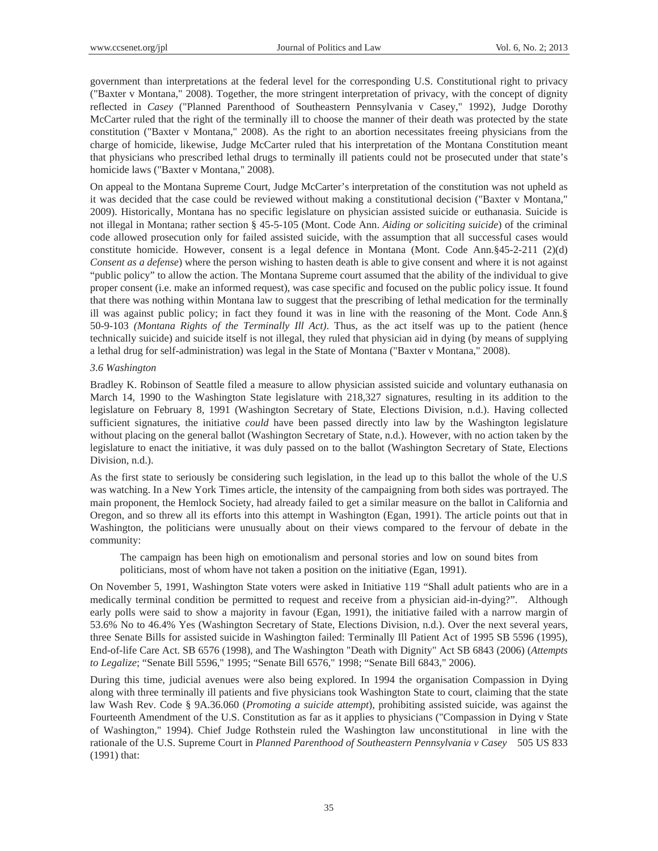government than interpretations at the federal level for the corresponding U.S. Constitutional right to privacy ("Baxter v Montana," 2008). Together, the more stringent interpretation of privacy, with the concept of dignity reflected in *Casey* ("Planned Parenthood of Southeastern Pennsylvania v Casey," 1992), Judge Dorothy McCarter ruled that the right of the terminally ill to choose the manner of their death was protected by the state constitution ("Baxter v Montana," 2008). As the right to an abortion necessitates freeing physicians from the charge of homicide, likewise, Judge McCarter ruled that his interpretation of the Montana Constitution meant that physicians who prescribed lethal drugs to terminally ill patients could not be prosecuted under that state's homicide laws ("Baxter v Montana," 2008).

On appeal to the Montana Supreme Court, Judge McCarter's interpretation of the constitution was not upheld as it was decided that the case could be reviewed without making a constitutional decision ("Baxter v Montana," 2009). Historically, Montana has no specific legislature on physician assisted suicide or euthanasia. Suicide is not illegal in Montana; rather section § 45-5-105 (Mont. Code Ann. *Aiding or soliciting suicide*) of the criminal code allowed prosecution only for failed assisted suicide, with the assumption that all successful cases would constitute homicide. However, consent is a legal defence in Montana (Mont. Code Ann.§45-2-211 (2)(d) *Consent as a defense*) where the person wishing to hasten death is able to give consent and where it is not against "public policy" to allow the action. The Montana Supreme court assumed that the ability of the individual to give proper consent (i.e. make an informed request), was case specific and focused on the public policy issue. It found that there was nothing within Montana law to suggest that the prescribing of lethal medication for the terminally ill was against public policy; in fact they found it was in line with the reasoning of the Mont. Code Ann.§ 50-9-103 *(Montana Rights of the Terminally Ill Act)*. Thus, as the act itself was up to the patient (hence technically suicide) and suicide itself is not illegal, they ruled that physician aid in dying (by means of supplying a lethal drug for self-administration) was legal in the State of Montana ("Baxter v Montana," 2008).

#### *3.6 Washington*

Bradley K. Robinson of Seattle filed a measure to allow physician assisted suicide and voluntary euthanasia on March 14, 1990 to the Washington State legislature with 218,327 signatures, resulting in its addition to the legislature on February 8, 1991 (Washington Secretary of State, Elections Division, n.d.). Having collected sufficient signatures, the initiative *could* have been passed directly into law by the Washington legislature without placing on the general ballot (Washington Secretary of State, n.d.). However, with no action taken by the legislature to enact the initiative, it was duly passed on to the ballot (Washington Secretary of State, Elections Division, n.d.).

As the first state to seriously be considering such legislation, in the lead up to this ballot the whole of the U.S was watching. In a New York Times article, the intensity of the campaigning from both sides was portrayed. The main proponent, the Hemlock Society, had already failed to get a similar measure on the ballot in California and Oregon, and so threw all its efforts into this attempt in Washington (Egan, 1991). The article points out that in Washington, the politicians were unusually about on their views compared to the fervour of debate in the community:

The campaign has been high on emotionalism and personal stories and low on sound bites from politicians, most of whom have not taken a position on the initiative (Egan, 1991).

On November 5, 1991, Washington State voters were asked in Initiative 119 "Shall adult patients who are in a medically terminal condition be permitted to request and receive from a physician aid-in-dying?". Although early polls were said to show a majority in favour (Egan, 1991), the initiative failed with a narrow margin of 53.6% No to 46.4% Yes (Washington Secretary of State, Elections Division, n.d.). Over the next several years, three Senate Bills for assisted suicide in Washington failed: Terminally Ill Patient Act of 1995 SB 5596 (1995), End-of-life Care Act. SB 6576 (1998), and The Washington "Death with Dignity" Act SB 6843 (2006) (*Attempts to Legalize*; "Senate Bill 5596," 1995; "Senate Bill 6576," 1998; "Senate Bill 6843," 2006).

During this time, judicial avenues were also being explored. In 1994 the organisation Compassion in Dying along with three terminally ill patients and five physicians took Washington State to court, claiming that the state law Wash Rev. Code § 9A.36.060 (*Promoting a suicide attempt*), prohibiting assisted suicide, was against the Fourteenth Amendment of the U.S. Constitution as far as it applies to physicians ("Compassion in Dying v State of Washington," 1994). Chief Judge Rothstein ruled the Washington law unconstitutional in line with the rationale of the U.S. Supreme Court in *Planned Parenthood of Southeastern Pennsylvania v Casey* 505 US 833 (1991) that: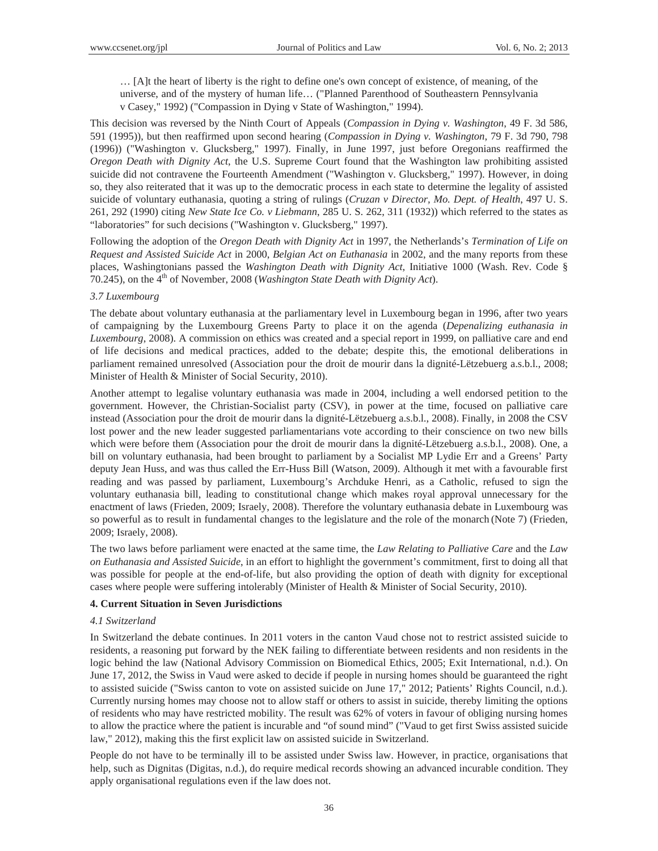… [A]t the heart of liberty is the right to define one's own concept of existence, of meaning, of the universe, and of the mystery of human life… ("Planned Parenthood of Southeastern Pennsylvania v Casey," 1992) ("Compassion in Dying v State of Washington," 1994).

This decision was reversed by the Ninth Court of Appeals (*Compassion in Dying v. Washington*, 49 F. 3d 586, 591 (1995)), but then reaffirmed upon second hearing (*Compassion in Dying v. Washington*, 79 F. 3d 790, 798 (1996)) ("Washington v. Glucksberg," 1997). Finally, in June 1997, just before Oregonians reaffirmed the *Oregon Death with Dignity Act*, the U.S. Supreme Court found that the Washington law prohibiting assisted suicide did not contravene the Fourteenth Amendment ("Washington v. Glucksberg," 1997). However, in doing so, they also reiterated that it was up to the democratic process in each state to determine the legality of assisted suicide of voluntary euthanasia, quoting a string of rulings (*Cruzan v Director, Mo. Dept. of Health*, 497 U. S. 261, 292 (1990) citing *New State Ice Co. v Liebmann*, 285 U. S. 262, 311 (1932)) which referred to the states as "laboratories" for such decisions ("Washington v. Glucksberg," 1997).

Following the adoption of the *Oregon Death with Dignity Act* in 1997, the Netherlands's *Termination of Life on Request and Assisted Suicide Act* in 2000, *Belgian Act on Euthanasia* in 2002, and the many reports from these places, Washingtonians passed the *Washington Death with Dignity Act*, Initiative 1000 (Wash. Rev. Code § 70.245), on the 4<sup>th</sup> of November, 2008 (*Washington State Death with Dignity Act*).

# *3.7 Luxembourg*

The debate about voluntary euthanasia at the parliamentary level in Luxembourg began in 1996, after two years of campaigning by the Luxembourg Greens Party to place it on the agenda (*Depenalizing euthanasia in Luxembourg*, 2008). A commission on ethics was created and a special report in 1999, on palliative care and end of life decisions and medical practices, added to the debate; despite this, the emotional deliberations in parliament remained unresolved (Association pour the droit de mourir dans la dignité-Lëtzebuerg a.s.b.l., 2008; Minister of Health & Minister of Social Security, 2010).

Another attempt to legalise voluntary euthanasia was made in 2004, including a well endorsed petition to the government. However, the Christian-Socialist party (CSV), in power at the time, focused on palliative care instead (Association pour the droit de mourir dans la dignité-Lëtzebuerg a.s.b.l., 2008). Finally, in 2008 the CSV lost power and the new leader suggested parliamentarians vote according to their conscience on two new bills which were before them (Association pour the droit de mourir dans la dignité-Lëtzebuerg a.s.b.l., 2008). One, a bill on voluntary euthanasia, had been brought to parliament by a Socialist MP Lydie Err and a Greens' Party deputy Jean Huss, and was thus called the Err-Huss Bill (Watson, 2009). Although it met with a favourable first reading and was passed by parliament, Luxembourg's Archduke Henri, as a Catholic, refused to sign the voluntary euthanasia bill, leading to constitutional change which makes royal approval unnecessary for the enactment of laws (Frieden, 2009; Israely, 2008). Therefore the voluntary euthanasia debate in Luxembourg was so powerful as to result in fundamental changes to the legislature and the role of the monarch (Note 7) (Frieden, 2009; Israely, 2008).

The two laws before parliament were enacted at the same time, the *Law Relating to Palliative Care* and the *Law on Euthanasia and Assisted Suicide*, in an effort to highlight the government's commitment, first to doing all that was possible for people at the end-of-life, but also providing the option of death with dignity for exceptional cases where people were suffering intolerably (Minister of Health & Minister of Social Security, 2010).

# **4. Current Situation in Seven Jurisdictions**

#### *4.1 Switzerland*

In Switzerland the debate continues. In 2011 voters in the canton Vaud chose not to restrict assisted suicide to residents, a reasoning put forward by the NEK failing to differentiate between residents and non residents in the logic behind the law (National Advisory Commission on Biomedical Ethics, 2005; Exit International, n.d.). On June 17, 2012, the Swiss in Vaud were asked to decide if people in nursing homes should be guaranteed the right to assisted suicide ("Swiss canton to vote on assisted suicide on June 17," 2012; Patients' Rights Council, n.d.). Currently nursing homes may choose not to allow staff or others to assist in suicide, thereby limiting the options of residents who may have restricted mobility. The result was 62% of voters in favour of obliging nursing homes to allow the practice where the patient is incurable and "of sound mind" ("Vaud to get first Swiss assisted suicide law," 2012), making this the first explicit law on assisted suicide in Switzerland.

People do not have to be terminally ill to be assisted under Swiss law. However, in practice, organisations that help, such as Dignitas (Digitas, n.d.), do require medical records showing an advanced incurable condition. They apply organisational regulations even if the law does not.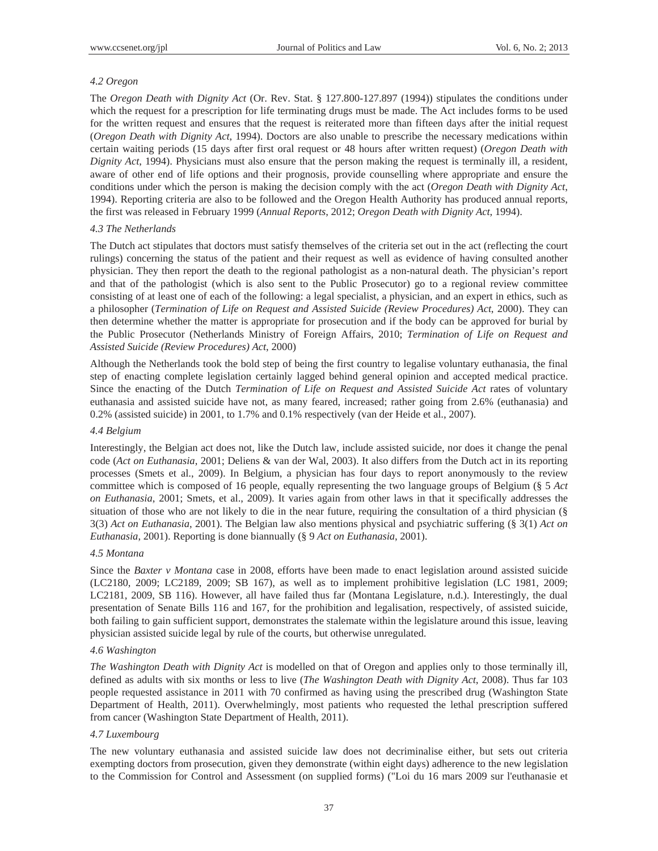## *4.2 Oregon*

The *Oregon Death with Dignity Act* (Or. Rev. Stat. § 127.800-127.897 (1994)) stipulates the conditions under which the request for a prescription for life terminating drugs must be made. The Act includes forms to be used for the written request and ensures that the request is reiterated more than fifteen days after the initial request (*Oregon Death with Dignity Act*, 1994). Doctors are also unable to prescribe the necessary medications within certain waiting periods (15 days after first oral request or 48 hours after written request) (*Oregon Death with Dignity Act*, 1994). Physicians must also ensure that the person making the request is terminally ill, a resident, aware of other end of life options and their prognosis, provide counselling where appropriate and ensure the conditions under which the person is making the decision comply with the act (*Oregon Death with Dignity Act*, 1994). Reporting criteria are also to be followed and the Oregon Health Authority has produced annual reports, the first was released in February 1999 (*Annual Reports*, 2012; *Oregon Death with Dignity Act*, 1994).

#### *4.3 The Netherlands*

The Dutch act stipulates that doctors must satisfy themselves of the criteria set out in the act (reflecting the court rulings) concerning the status of the patient and their request as well as evidence of having consulted another physician. They then report the death to the regional pathologist as a non-natural death. The physician's report and that of the pathologist (which is also sent to the Public Prosecutor) go to a regional review committee consisting of at least one of each of the following: a legal specialist, a physician, and an expert in ethics, such as a philosopher (*Termination of Life on Request and Assisted Suicide (Review Procedures) Act*, 2000). They can then determine whether the matter is appropriate for prosecution and if the body can be approved for burial by the Public Prosecutor (Netherlands Ministry of Foreign Affairs, 2010; *Termination of Life on Request and Assisted Suicide (Review Procedures) Act*, 2000)

Although the Netherlands took the bold step of being the first country to legalise voluntary euthanasia, the final step of enacting complete legislation certainly lagged behind general opinion and accepted medical practice. Since the enacting of the Dutch *Termination of Life on Request and Assisted Suicide Act* rates of voluntary euthanasia and assisted suicide have not, as many feared, increased; rather going from 2.6% (euthanasia) and 0.2% (assisted suicide) in 2001, to 1.7% and 0.1% respectively (van der Heide et al., 2007).

# *4.4 Belgium*

Interestingly, the Belgian act does not, like the Dutch law, include assisted suicide, nor does it change the penal code (*Act on Euthanasia*, 2001; Deliens & van der Wal, 2003). It also differs from the Dutch act in its reporting processes (Smets et al., 2009). In Belgium, a physician has four days to report anonymously to the review committee which is composed of 16 people, equally representing the two language groups of Belgium (§ 5 *Act on Euthanasia*, 2001; Smets, et al., 2009). It varies again from other laws in that it specifically addresses the situation of those who are not likely to die in the near future, requiring the consultation of a third physician (§ 3(3) *Act on Euthanasia*, 2001). The Belgian law also mentions physical and psychiatric suffering (§ 3(1) *Act on Euthanasia*, 2001). Reporting is done biannually (§ 9 *Act on Euthanasia*, 2001).

#### *4.5 Montana*

Since the *Baxter v Montana* case in 2008, efforts have been made to enact legislation around assisted suicide (LC2180, 2009; LC2189, 2009; SB 167), as well as to implement prohibitive legislation (LC 1981, 2009; LC2181, 2009, SB 116). However, all have failed thus far (Montana Legislature, n.d.). Interestingly, the dual presentation of Senate Bills 116 and 167, for the prohibition and legalisation, respectively, of assisted suicide, both failing to gain sufficient support, demonstrates the stalemate within the legislature around this issue, leaving physician assisted suicide legal by rule of the courts, but otherwise unregulated.

### *4.6 Washington*

*The Washington Death with Dignity Act* is modelled on that of Oregon and applies only to those terminally ill, defined as adults with six months or less to live (*The Washington Death with Dignity Act*, 2008). Thus far 103 people requested assistance in 2011 with 70 confirmed as having using the prescribed drug (Washington State Department of Health, 2011). Overwhelmingly, most patients who requested the lethal prescription suffered from cancer (Washington State Department of Health, 2011).

# *4.7 Luxembourg*

The new voluntary euthanasia and assisted suicide law does not decriminalise either, but sets out criteria exempting doctors from prosecution, given they demonstrate (within eight days) adherence to the new legislation to the Commission for Control and Assessment (on supplied forms) ("Loi du 16 mars 2009 sur l'euthanasie et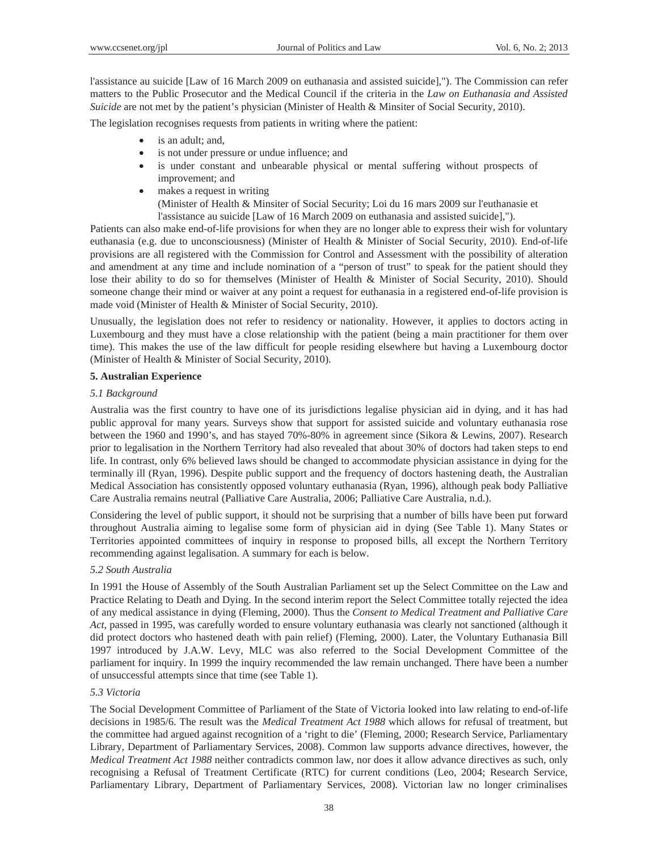l'assistance au suicide [Law of 16 March 2009 on euthanasia and assisted suicide],"). The Commission can refer matters to the Public Prosecutor and the Medical Council if the criteria in the *Law on Euthanasia and Assisted Suicide* are not met by the patient's physician (Minister of Health & Minsiter of Social Security, 2010).

The legislation recognises requests from patients in writing where the patient:

- is an adult; and,
- is not under pressure or undue influence; and
- is under constant and unbearable physical or mental suffering without prospects of improvement; and
- makes a request in writing (Minister of Health & Minsiter of Social Security; Loi du 16 mars 2009 sur l'euthanasie et l'assistance au suicide [Law of 16 March 2009 on euthanasia and assisted suicide],").

Patients can also make end-of-life provisions for when they are no longer able to express their wish for voluntary euthanasia (e.g. due to unconsciousness) (Minister of Health & Minister of Social Security, 2010). End-of-life provisions are all registered with the Commission for Control and Assessment with the possibility of alteration and amendment at any time and include nomination of a "person of trust" to speak for the patient should they lose their ability to do so for themselves (Minister of Health & Minister of Social Security, 2010). Should someone change their mind or waiver at any point a request for euthanasia in a registered end-of-life provision is made void (Minister of Health & Minister of Social Security, 2010).

Unusually, the legislation does not refer to residency or nationality. However, it applies to doctors acting in Luxembourg and they must have a close relationship with the patient (being a main practitioner for them over time). This makes the use of the law difficult for people residing elsewhere but having a Luxembourg doctor (Minister of Health & Minister of Social Security, 2010).

# **5. Australian Experience**

#### *5.1 Background*

Australia was the first country to have one of its jurisdictions legalise physician aid in dying, and it has had public approval for many years. Surveys show that support for assisted suicide and voluntary euthanasia rose between the 1960 and 1990's, and has stayed 70%-80% in agreement since (Sikora & Lewins, 2007). Research prior to legalisation in the Northern Territory had also revealed that about 30% of doctors had taken steps to end life. In contrast, only 6% believed laws should be changed to accommodate physician assistance in dying for the terminally ill (Ryan, 1996). Despite public support and the frequency of doctors hastening death, the Australian Medical Association has consistently opposed voluntary euthanasia (Ryan, 1996), although peak body Palliative Care Australia remains neutral (Palliative Care Australia, 2006; Palliative Care Australia, n.d.).

Considering the level of public support, it should not be surprising that a number of bills have been put forward throughout Australia aiming to legalise some form of physician aid in dying (See Table 1). Many States or Territories appointed committees of inquiry in response to proposed bills, all except the Northern Territory recommending against legalisation. A summary for each is below.

### *5.2 South Australia*

In 1991 the House of Assembly of the South Australian Parliament set up the Select Committee on the Law and Practice Relating to Death and Dying. In the second interim report the Select Committee totally rejected the idea of any medical assistance in dying (Fleming, 2000). Thus the *Consent to Medical Treatment and Palliative Care Act,* passed in 1995, was carefully worded to ensure voluntary euthanasia was clearly not sanctioned (although it did protect doctors who hastened death with pain relief) (Fleming, 2000). Later, the Voluntary Euthanasia Bill 1997 introduced by J.A.W. Levy, MLC was also referred to the Social Development Committee of the parliament for inquiry. In 1999 the inquiry recommended the law remain unchanged. There have been a number of unsuccessful attempts since that time (see Table 1).

## *5.3 Victoria*

The Social Development Committee of Parliament of the State of Victoria looked into law relating to end-of-life decisions in 1985/6. The result was the *Medical Treatment Act 1988* which allows for refusal of treatment, but the committee had argued against recognition of a 'right to die' (Fleming, 2000; Research Service, Parliamentary Library, Department of Parliamentary Services, 2008). Common law supports advance directives, however, the *Medical Treatment Act 1988* neither contradicts common law, nor does it allow advance directives as such, only recognising a Refusal of Treatment Certificate (RTC) for current conditions (Leo, 2004; Research Service, Parliamentary Library, Department of Parliamentary Services, 2008). Victorian law no longer criminalises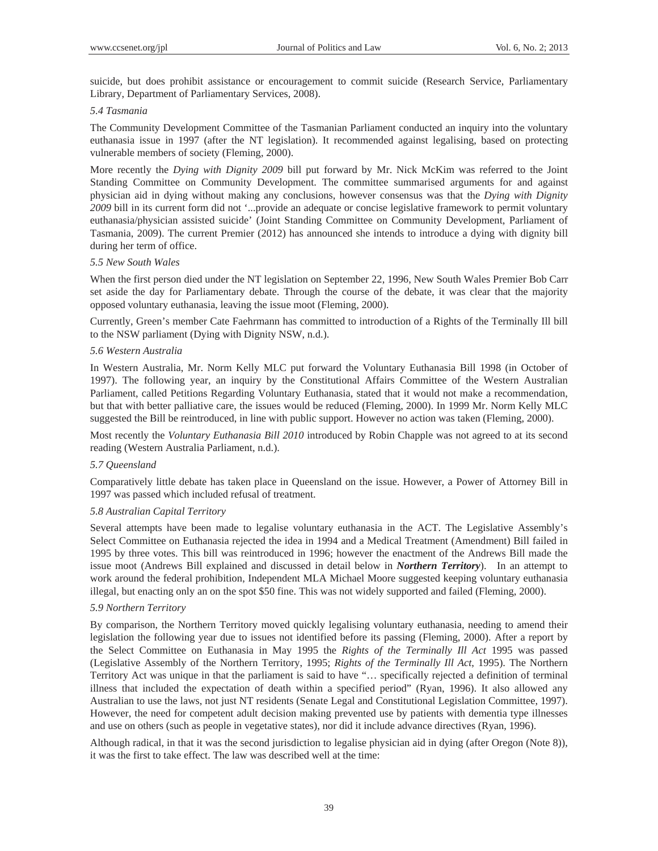suicide, but does prohibit assistance or encouragement to commit suicide (Research Service, Parliamentary Library, Department of Parliamentary Services, 2008).

# *5.4 Tasmania*

The Community Development Committee of the Tasmanian Parliament conducted an inquiry into the voluntary euthanasia issue in 1997 (after the NT legislation). It recommended against legalising, based on protecting vulnerable members of society (Fleming, 2000).

More recently the *Dying with Dignity 2009* bill put forward by Mr. Nick McKim was referred to the Joint Standing Committee on Community Development. The committee summarised arguments for and against physician aid in dying without making any conclusions, however consensus was that the *Dying with Dignity 2009* bill in its current form did not '...provide an adequate or concise legislative framework to permit voluntary euthanasia/physician assisted suicide' (Joint Standing Committee on Community Development, Parliament of Tasmania, 2009). The current Premier (2012) has announced she intends to introduce a dying with dignity bill during her term of office.

# *5.5 New South Wales*

When the first person died under the NT legislation on September 22, 1996, New South Wales Premier Bob Carr set aside the day for Parliamentary debate. Through the course of the debate, it was clear that the majority opposed voluntary euthanasia, leaving the issue moot (Fleming, 2000).

Currently, Green's member Cate Faehrmann has committed to introduction of a Rights of the Terminally Ill bill to the NSW parliament (Dying with Dignity NSW, n.d.).

# *5.6 Western Australia*

In Western Australia, Mr. Norm Kelly MLC put forward the Voluntary Euthanasia Bill 1998 (in October of 1997). The following year, an inquiry by the Constitutional Affairs Committee of the Western Australian Parliament, called Petitions Regarding Voluntary Euthanasia, stated that it would not make a recommendation, but that with better palliative care, the issues would be reduced (Fleming, 2000). In 1999 Mr. Norm Kelly MLC suggested the Bill be reintroduced, in line with public support. However no action was taken (Fleming, 2000).

Most recently the *Voluntary Euthanasia Bill 2010* introduced by Robin Chapple was not agreed to at its second reading (Western Australia Parliament, n.d.).

# *5.7 Queensland*

Comparatively little debate has taken place in Queensland on the issue. However, a Power of Attorney Bill in 1997 was passed which included refusal of treatment.

# *5.8 Australian Capital Territory*

Several attempts have been made to legalise voluntary euthanasia in the ACT. The Legislative Assembly's Select Committee on Euthanasia rejected the idea in 1994 and a Medical Treatment (Amendment) Bill failed in 1995 by three votes. This bill was reintroduced in 1996; however the enactment of the Andrews Bill made the issue moot (Andrews Bill explained and discussed in detail below in *Northern Territory*). In an attempt to work around the federal prohibition, Independent MLA Michael Moore suggested keeping voluntary euthanasia illegal, but enacting only an on the spot \$50 fine. This was not widely supported and failed (Fleming, 2000).

# *5.9 Northern Territory*

By comparison, the Northern Territory moved quickly legalising voluntary euthanasia, needing to amend their legislation the following year due to issues not identified before its passing (Fleming, 2000). After a report by the Select Committee on Euthanasia in May 1995 the *Rights of the Terminally Ill Act* 1995 was passed (Legislative Assembly of the Northern Territory, 1995; *Rights of the Terminally Ill Act*, 1995). The Northern Territory Act was unique in that the parliament is said to have "… specifically rejected a definition of terminal illness that included the expectation of death within a specified period" (Ryan, 1996). It also allowed any Australian to use the laws, not just NT residents (Senate Legal and Constitutional Legislation Committee, 1997). However, the need for competent adult decision making prevented use by patients with dementia type illnesses and use on others (such as people in vegetative states), nor did it include advance directives (Ryan, 1996).

Although radical, in that it was the second jurisdiction to legalise physician aid in dying (after Oregon (Note 8)), it was the first to take effect. The law was described well at the time: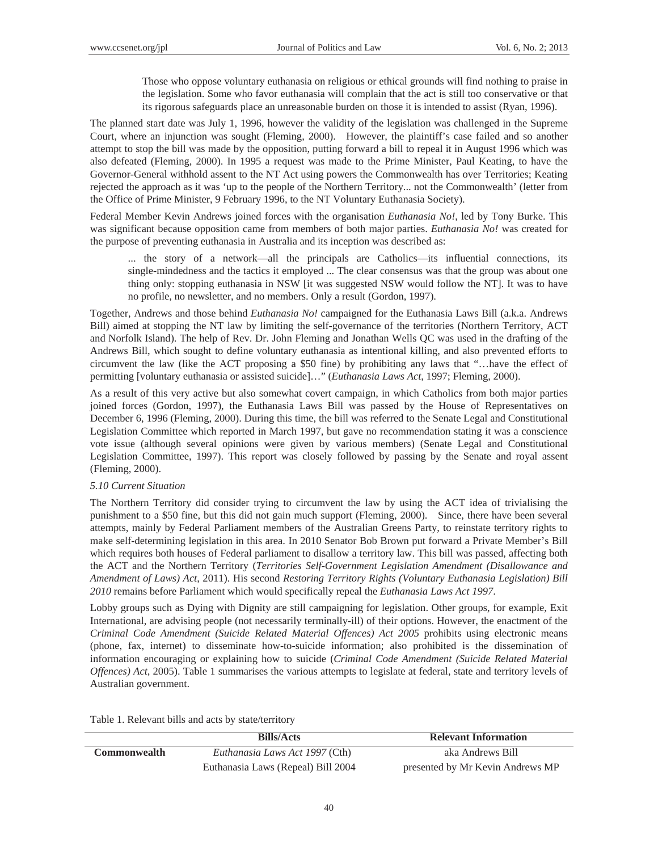Those who oppose voluntary euthanasia on religious or ethical grounds will find nothing to praise in the legislation. Some who favor euthanasia will complain that the act is still too conservative or that its rigorous safeguards place an unreasonable burden on those it is intended to assist (Ryan, 1996).

The planned start date was July 1, 1996, however the validity of the legislation was challenged in the Supreme Court, where an injunction was sought (Fleming, 2000). However, the plaintiff's case failed and so another attempt to stop the bill was made by the opposition, putting forward a bill to repeal it in August 1996 which was also defeated (Fleming, 2000). In 1995 a request was made to the Prime Minister, Paul Keating, to have the Governor-General withhold assent to the NT Act using powers the Commonwealth has over Territories; Keating rejected the approach as it was 'up to the people of the Northern Territory... not the Commonwealth' (letter from the Office of Prime Minister, 9 February 1996, to the NT Voluntary Euthanasia Society).

Federal Member Kevin Andrews joined forces with the organisation *Euthanasia No!*, led by Tony Burke. This was significant because opposition came from members of both major parties. *Euthanasia No!* was created for the purpose of preventing euthanasia in Australia and its inception was described as:

... the story of a network—all the principals are Catholics—its influential connections, its single-mindedness and the tactics it employed ... The clear consensus was that the group was about one thing only: stopping euthanasia in NSW [it was suggested NSW would follow the NT]. It was to have no profile, no newsletter, and no members. Only a result (Gordon, 1997).

Together, Andrews and those behind *Euthanasia No!* campaigned for the Euthanasia Laws Bill (a.k.a. Andrews Bill) aimed at stopping the NT law by limiting the self-governance of the territories (Northern Territory, ACT and Norfolk Island). The help of Rev. Dr. John Fleming and Jonathan Wells QC was used in the drafting of the Andrews Bill, which sought to define voluntary euthanasia as intentional killing, and also prevented efforts to circumvent the law (like the ACT proposing a \$50 fine) by prohibiting any laws that "…have the effect of permitting [voluntary euthanasia or assisted suicide]…" (*Euthanasia Laws Act*, 1997; Fleming, 2000).

As a result of this very active but also somewhat covert campaign, in which Catholics from both major parties joined forces (Gordon, 1997), the Euthanasia Laws Bill was passed by the House of Representatives on December 6, 1996 (Fleming, 2000). During this time, the bill was referred to the Senate Legal and Constitutional Legislation Committee which reported in March 1997, but gave no recommendation stating it was a conscience vote issue (although several opinions were given by various members) (Senate Legal and Constitutional Legislation Committee, 1997). This report was closely followed by passing by the Senate and royal assent (Fleming, 2000).

# *5.10 Current Situation*

The Northern Territory did consider trying to circumvent the law by using the ACT idea of trivialising the punishment to a \$50 fine, but this did not gain much support (Fleming, 2000). Since, there have been several attempts, mainly by Federal Parliament members of the Australian Greens Party, to reinstate territory rights to make self-determining legislation in this area. In 2010 Senator Bob Brown put forward a Private Member's Bill which requires both houses of Federal parliament to disallow a territory law. This bill was passed, affecting both the ACT and the Northern Territory (*Territories Self-Government Legislation Amendment (Disallowance and Amendment of Laws) Act*, 2011). His second *Restoring Territory Rights (Voluntary Euthanasia Legislation) Bill 2010* remains before Parliament which would specifically repeal the *Euthanasia Laws Act 1997*.

Lobby groups such as Dying with Dignity are still campaigning for legislation. Other groups, for example, Exit International, are advising people (not necessarily terminally-ill) of their options. However, the enactment of the *Criminal Code Amendment (Suicide Related Material Offences) Act 2005* prohibits using electronic means (phone, fax, internet) to disseminate how-to-suicide information; also prohibited is the dissemination of information encouraging or explaining how to suicide (*Criminal Code Amendment (Suicide Related Material Offences) Act*, 2005). Table 1 summarises the various attempts to legislate at federal, state and territory levels of Australian government.

Table 1. Relevant bills and acts by state/territory

|                     | <b>Bills/Acts</b>                  | <b>Relevant Information</b>      |
|---------------------|------------------------------------|----------------------------------|
| <b>Commonwealth</b> | Euthanasia Laws Act 1997 (Cth)     | aka Andrews Bill                 |
|                     | Euthanasia Laws (Repeal) Bill 2004 | presented by Mr Kevin Andrews MP |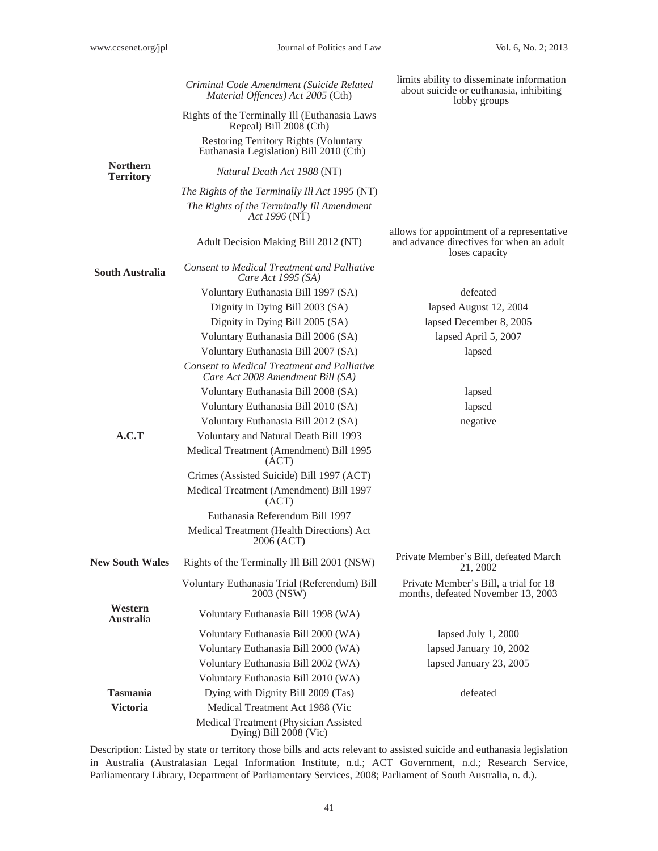|                                     | Criminal Code Amendment (Suicide Related<br>Material Offences) Act 2005 (Cth)                                 | limits ability to disseminate information<br>about suicide or euthanasia, inhibiting<br>lobby groups     |  |  |  |  |
|-------------------------------------|---------------------------------------------------------------------------------------------------------------|----------------------------------------------------------------------------------------------------------|--|--|--|--|
|                                     | Rights of the Terminally Ill (Euthanasia Laws<br>Repeal) Bill 2008 (Cth)                                      |                                                                                                          |  |  |  |  |
|                                     | <b>Restoring Territory Rights (Voluntary</b><br>Euthanasia Legislation) Bill 2010 (Cth)                       |                                                                                                          |  |  |  |  |
| <b>Northern</b><br><b>Territory</b> | Natural Death Act 1988 (NT)                                                                                   |                                                                                                          |  |  |  |  |
|                                     | The Rights of the Terminally Ill Act 1995 (NT)<br>The Rights of the Terminally Ill Amendment<br>Act 1996 (NT) |                                                                                                          |  |  |  |  |
|                                     | Adult Decision Making Bill 2012 (NT)                                                                          | allows for appointment of a representative<br>and advance directives for when an adult<br>loses capacity |  |  |  |  |
| <b>South Australia</b>              | <b>Consent to Medical Treatment and Palliative</b><br>Care Act 1995 (SA)                                      |                                                                                                          |  |  |  |  |
|                                     | Voluntary Euthanasia Bill 1997 (SA)                                                                           | defeated                                                                                                 |  |  |  |  |
|                                     | Dignity in Dying Bill 2003 (SA)                                                                               | lapsed August 12, 2004                                                                                   |  |  |  |  |
|                                     | Dignity in Dying Bill 2005 (SA)                                                                               | lapsed December 8, 2005                                                                                  |  |  |  |  |
|                                     | Voluntary Euthanasia Bill 2006 (SA)                                                                           | lapsed April 5, 2007                                                                                     |  |  |  |  |
|                                     | Voluntary Euthanasia Bill 2007 (SA)                                                                           | lapsed                                                                                                   |  |  |  |  |
|                                     | <b>Consent to Medical Treatment and Palliative</b><br>Care Act 2008 Amendment Bill (SA)                       |                                                                                                          |  |  |  |  |
|                                     | Voluntary Euthanasia Bill 2008 (SA)                                                                           | lapsed                                                                                                   |  |  |  |  |
|                                     | Voluntary Euthanasia Bill 2010 (SA)                                                                           | lapsed                                                                                                   |  |  |  |  |
|                                     | Voluntary Euthanasia Bill 2012 (SA)                                                                           | negative                                                                                                 |  |  |  |  |
| A.C.T                               | Voluntary and Natural Death Bill 1993                                                                         |                                                                                                          |  |  |  |  |
|                                     | Medical Treatment (Amendment) Bill 1995<br>(ACT)                                                              |                                                                                                          |  |  |  |  |
|                                     | Crimes (Assisted Suicide) Bill 1997 (ACT)                                                                     |                                                                                                          |  |  |  |  |
|                                     | Medical Treatment (Amendment) Bill 1997<br>(ACT)                                                              |                                                                                                          |  |  |  |  |
|                                     | Euthanasia Referendum Bill 1997                                                                               |                                                                                                          |  |  |  |  |
|                                     | Medical Treatment (Health Directions) Act<br>2006 (ACT)                                                       |                                                                                                          |  |  |  |  |
| <b>New South Wales</b>              | Rights of the Terminally Ill Bill 2001 (NSW)                                                                  | Private Member's Bill, defeated March<br>21, 2002                                                        |  |  |  |  |
|                                     | Voluntary Euthanasia Trial (Referendum) Bill<br>2003 (NSW)                                                    | Private Member's Bill, a trial for 18<br>months, defeated November 13, 2003                              |  |  |  |  |
| Western<br><b>Australia</b>         | Voluntary Euthanasia Bill 1998 (WA)                                                                           |                                                                                                          |  |  |  |  |
|                                     | Voluntary Euthanasia Bill 2000 (WA)                                                                           | lapsed July 1, 2000                                                                                      |  |  |  |  |
|                                     | Voluntary Euthanasia Bill 2000 (WA)                                                                           | lapsed January 10, 2002                                                                                  |  |  |  |  |
|                                     | Voluntary Euthanasia Bill 2002 (WA)                                                                           | lapsed January 23, 2005                                                                                  |  |  |  |  |
|                                     | Voluntary Euthanasia Bill 2010 (WA)                                                                           |                                                                                                          |  |  |  |  |
| <b>Tasmania</b>                     | Dying with Dignity Bill 2009 (Tas)                                                                            | defeated                                                                                                 |  |  |  |  |
| <b>Victoria</b>                     | Medical Treatment Act 1988 (Vic                                                                               |                                                                                                          |  |  |  |  |
|                                     | Medical Treatment (Physician Assisted<br>Dying) Bill 2008 (Vic)                                               |                                                                                                          |  |  |  |  |

Description: Listed by state or territory those bills and acts relevant to assisted suicide and euthanasia legislation in Australia (Australasian Legal Information Institute, n.d.; ACT Government, n.d.; Research Service, Parliamentary Library, Department of Parliamentary Services, 2008; Parliament of South Australia, n. d.).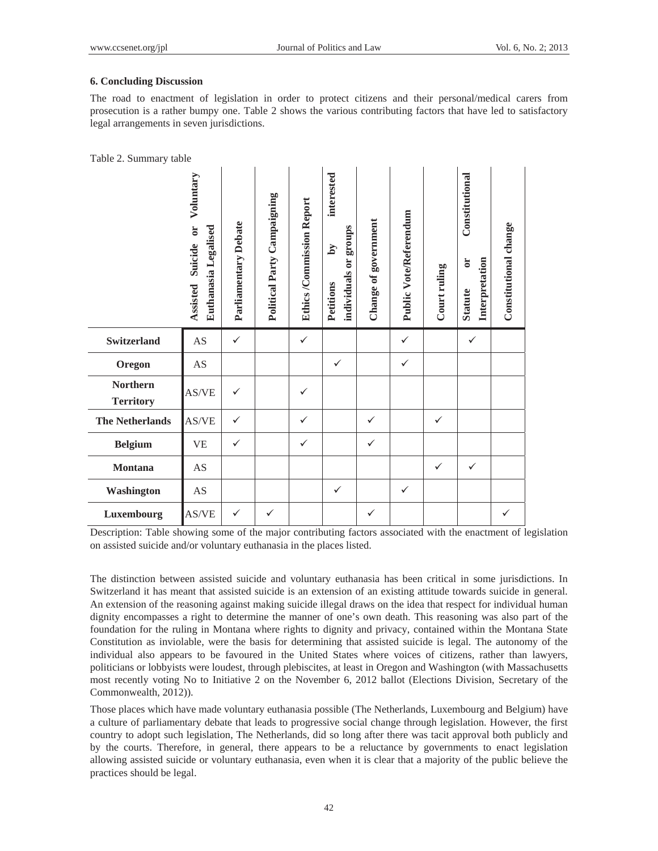# **6. Concluding Discussion**

The road to enactment of legislation in order to protect citizens and their personal/medical carers from prosecution is a rather bumpy one. Table 2 shows the various contributing factors that have led to satisfactory legal arrangements in seven jurisdictions.

|  |  | Table 2. Summary table |  |
|--|--|------------------------|--|
|--|--|------------------------|--|

|                                     | Voluntary<br>Euthanasia Legalised<br>$\overline{\mathbf{C}}$<br>Suicide<br>Assisted | Parliamentary Debate | Political Party Campaigning | <b>Ethics /Commission Report</b> | interested<br>sdno.ra<br>$\mathbf{M}$<br>individuals or<br>Petitions | Change of government | Public Vote/Referendum | Court ruling | Constitutional<br>Interpretation<br>$\overline{c}$<br><b>Statute</b> | Constitutional change |
|-------------------------------------|-------------------------------------------------------------------------------------|----------------------|-----------------------------|----------------------------------|----------------------------------------------------------------------|----------------------|------------------------|--------------|----------------------------------------------------------------------|-----------------------|
| <b>Switzerland</b>                  | AS                                                                                  | $\checkmark$         |                             | $\checkmark$                     |                                                                      |                      | $\checkmark$           |              | ✓                                                                    |                       |
| Oregon                              | AS                                                                                  |                      |                             |                                  | $\checkmark$                                                         |                      | ✓                      |              |                                                                      |                       |
| <b>Northern</b><br><b>Territory</b> | AS/VE                                                                               | ✓                    |                             | $\checkmark$                     |                                                                      |                      |                        |              |                                                                      |                       |
| <b>The Netherlands</b>              | AS/VE                                                                               | ✓                    |                             | $\checkmark$                     |                                                                      | $\checkmark$         |                        | $\checkmark$ |                                                                      |                       |
| <b>Belgium</b>                      | <b>VE</b>                                                                           | ✓                    |                             | $\checkmark$                     |                                                                      | $\checkmark$         |                        |              |                                                                      |                       |
| <b>Montana</b>                      | AS                                                                                  |                      |                             |                                  |                                                                      |                      |                        | ✓            | $\checkmark$                                                         |                       |
| Washington                          | AS                                                                                  |                      |                             |                                  | $\checkmark$                                                         |                      | $\checkmark$           |              |                                                                      |                       |
| Luxembourg                          | AS/VE                                                                               | ✓                    | ✓                           |                                  |                                                                      | ✓                    |                        |              |                                                                      | ✓                     |

Description: Table showing some of the major contributing factors associated with the enactment of legislation on assisted suicide and/or voluntary euthanasia in the places listed.

The distinction between assisted suicide and voluntary euthanasia has been critical in some jurisdictions. In Switzerland it has meant that assisted suicide is an extension of an existing attitude towards suicide in general. An extension of the reasoning against making suicide illegal draws on the idea that respect for individual human dignity encompasses a right to determine the manner of one's own death. This reasoning was also part of the foundation for the ruling in Montana where rights to dignity and privacy, contained within the Montana State Constitution as inviolable, were the basis for determining that assisted suicide is legal. The autonomy of the individual also appears to be favoured in the United States where voices of citizens, rather than lawyers, politicians or lobbyists were loudest, through plebiscites, at least in Oregon and Washington (with Massachusetts most recently voting No to Initiative 2 on the November 6, 2012 ballot (Elections Division, Secretary of the Commonwealth, 2012)).

Those places which have made voluntary euthanasia possible (The Netherlands, Luxembourg and Belgium) have a culture of parliamentary debate that leads to progressive social change through legislation. However, the first country to adopt such legislation, The Netherlands, did so long after there was tacit approval both publicly and by the courts. Therefore, in general, there appears to be a reluctance by governments to enact legislation allowing assisted suicide or voluntary euthanasia, even when it is clear that a majority of the public believe the practices should be legal.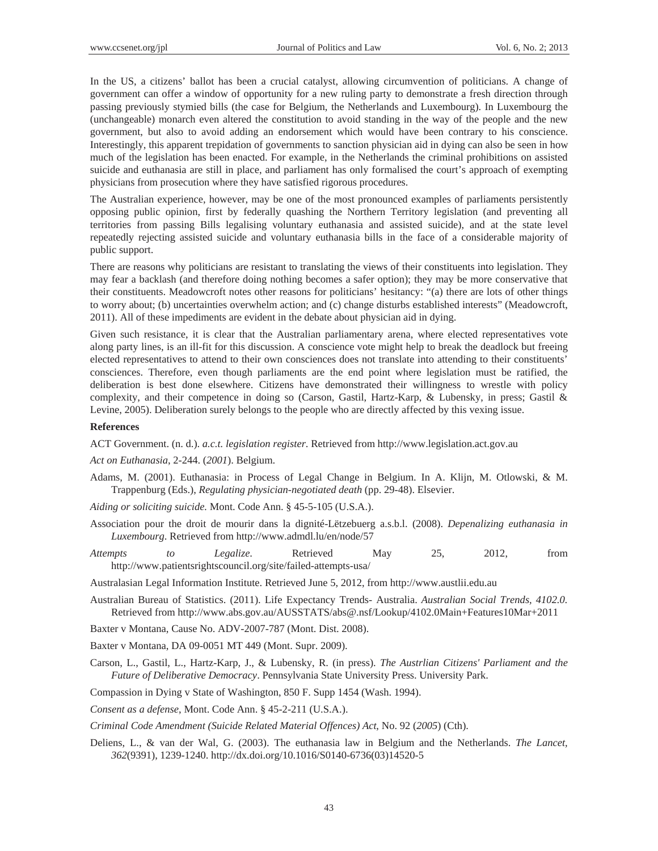In the US, a citizens' ballot has been a crucial catalyst, allowing circumvention of politicians. A change of government can offer a window of opportunity for a new ruling party to demonstrate a fresh direction through passing previously stymied bills (the case for Belgium, the Netherlands and Luxembourg). In Luxembourg the (unchangeable) monarch even altered the constitution to avoid standing in the way of the people and the new government, but also to avoid adding an endorsement which would have been contrary to his conscience. Interestingly, this apparent trepidation of governments to sanction physician aid in dying can also be seen in how much of the legislation has been enacted. For example, in the Netherlands the criminal prohibitions on assisted suicide and euthanasia are still in place, and parliament has only formalised the court's approach of exempting physicians from prosecution where they have satisfied rigorous procedures.

The Australian experience, however, may be one of the most pronounced examples of parliaments persistently opposing public opinion, first by federally quashing the Northern Territory legislation (and preventing all territories from passing Bills legalising voluntary euthanasia and assisted suicide), and at the state level repeatedly rejecting assisted suicide and voluntary euthanasia bills in the face of a considerable majority of public support.

There are reasons why politicians are resistant to translating the views of their constituents into legislation. They may fear a backlash (and therefore doing nothing becomes a safer option); they may be more conservative that their constituents. Meadowcroft notes other reasons for politicians' hesitancy: "(a) there are lots of other things to worry about; (b) uncertainties overwhelm action; and (c) change disturbs established interests" (Meadowcroft, 2011). All of these impediments are evident in the debate about physician aid in dying.

Given such resistance, it is clear that the Australian parliamentary arena, where elected representatives vote along party lines, is an ill-fit for this discussion. A conscience vote might help to break the deadlock but freeing elected representatives to attend to their own consciences does not translate into attending to their constituents' consciences. Therefore, even though parliaments are the end point where legislation must be ratified, the deliberation is best done elsewhere. Citizens have demonstrated their willingness to wrestle with policy complexity, and their competence in doing so (Carson, Gastil, Hartz-Karp, & Lubensky, in press; Gastil & Levine, 2005). Deliberation surely belongs to the people who are directly affected by this vexing issue.

#### **References**

ACT Government. (n. d.). *a.c.t. legislation register*. Retrieved from http://www.legislation.act.gov.au

*Act on Euthanasia*, 2-244. (*2001*). Belgium.

- Adams, M. (2001). Euthanasia: in Process of Legal Change in Belgium. In A. Klijn, M. Otlowski, & M. Trappenburg (Eds.), *Regulating physician-negotiated death* (pp. 29-48). Elsevier.
- *Aiding or soliciting suicide.* Mont. Code Ann. § 45-5-105 (U.S.A.).
- Association pour the droit de mourir dans la dignité-Lëtzebuerg a.s.b.l. (2008). *Depenalizing euthanasia in Luxembourg*. Retrieved from http://www.admdl.lu/en/node/57
- *Attempts to Legalize*. Retrieved May 25, 2012, from http://www.patientsrightscouncil.org/site/failed-attempts-usa/

Australasian Legal Information Institute. Retrieved June 5, 2012, from http://www.austlii.edu.au

- Australian Bureau of Statistics. (2011). Life Expectancy Trends- Australia. *Australian Social Trends, 4102.0.*  Retrieved from http://www.abs.gov.au/AUSSTATS/abs@.nsf/Lookup/4102.0Main+Features10Mar+2011
- Baxter v Montana, Cause No. ADV-2007-787 (Mont. Dist. 2008).

Baxter v Montana, DA 09-0051 MT 449 (Mont. Supr. 2009).

- Carson, L., Gastil, L., Hartz-Karp, J., & Lubensky, R. (in press). *The Austrlian Citizens' Parliament and the Future of Deliberative Democracy*. Pennsylvania State University Press. University Park.
- Compassion in Dying v State of Washington, 850 F. Supp 1454 (Wash. 1994).

*Consent as a defense*, Mont. Code Ann. § 45-2-211 (U.S.A.).

*Criminal Code Amendment (Suicide Related Material Offences) Act*, No. 92 (*2005*) (Cth).

Deliens, L., & van der Wal, G. (2003). The euthanasia law in Belgium and the Netherlands. *The Lancet, 362*(9391), 1239-1240. http://dx.doi.org/10.1016/S0140-6736(03)14520-5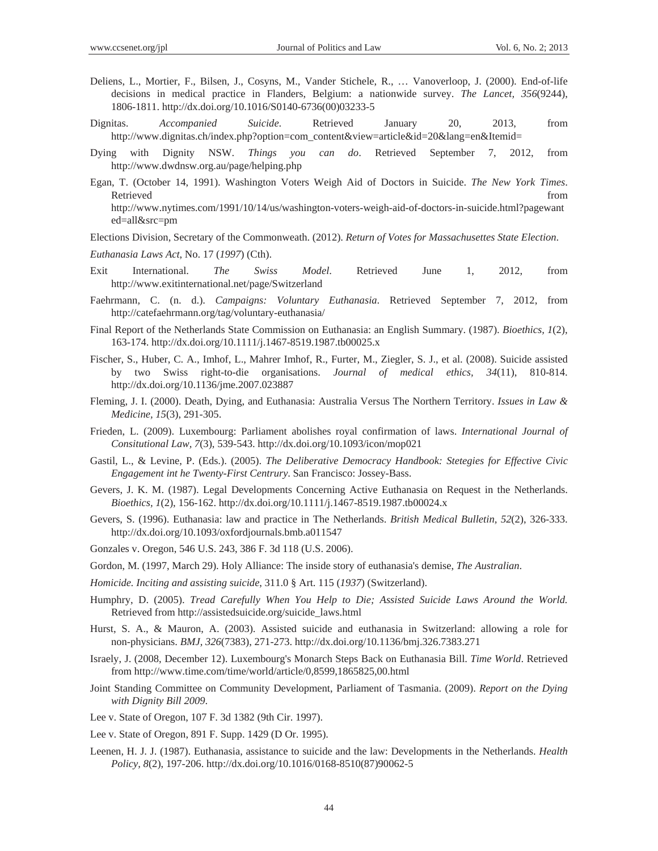- Deliens, L., Mortier, F., Bilsen, J., Cosyns, M., Vander Stichele, R., … Vanoverloop, J. (2000). End-of-life decisions in medical practice in Flanders, Belgium: a nationwide survey. *The Lancet, 356*(9244), 1806-1811. http://dx.doi.org/10.1016/S0140-6736(00)03233-5
- Dignitas. *Accompanied Suicide*. Retrieved January 20, 2013, from http://www.dignitas.ch/index.php?option=com\_content&view=article&id=20&lang=en&Itemid=
- Dying with Dignity NSW. *Things you can do*. Retrieved September 7, 2012, from http://www.dwdnsw.org.au/page/helping.php
- Egan, T. (October 14, 1991). Washington Voters Weigh Aid of Doctors in Suicide. *The New York Times*. Retrieved that the contract of the contract of the contract of the contract of the contract of the contract of the contract of the contract of the contract of the contract of the contract of the contract of the contract of http://www.nytimes.com/1991/10/14/us/washington-voters-weigh-aid-of-doctors-in-suicide.html?pagewant ed=all&src=pm
- Elections Division, Secretary of the Commonweath. (2012). *Return of Votes for Massachusettes State Election*.

*Euthanasia Laws Act*, No. 17 (*1997*) (Cth).

- Exit International. *The Swiss Model*. Retrieved June 1, 2012, from http://www.exitinternational.net/page/Switzerland
- Faehrmann, C. (n. d.). *Campaigns: Voluntary Euthanasia*. Retrieved September 7, 2012, from http://catefaehrmann.org/tag/voluntary-euthanasia/
- Final Report of the Netherlands State Commission on Euthanasia: an English Summary. (1987). *Bioethics, 1*(2), 163-174. http://dx.doi.org/10.1111/j.1467-8519.1987.tb00025.x
- Fischer, S., Huber, C. A., Imhof, L., Mahrer Imhof, R., Furter, M., Ziegler, S. J., et al. (2008). Suicide assisted by two Swiss right-to-die organisations. *Journal of medical ethics, 34*(11), 810-814. http://dx.doi.org/10.1136/jme.2007.023887
- Fleming, J. I. (2000). Death, Dying, and Euthanasia: Australia Versus The Northern Territory. *Issues in Law & Medicine, 15*(3), 291-305.
- Frieden, L. (2009). Luxembourg: Parliament abolishes royal confirmation of laws. *International Journal of Consitutional Law, 7*(3), 539-543. http://dx.doi.org/10.1093/icon/mop021
- Gastil, L., & Levine, P. (Eds.). (2005). *The Deliberative Democracy Handbook: Stetegies for Effective Civic Engagement int he Twenty-First Centrury*. San Francisco: Jossey-Bass.
- Gevers, J. K. M. (1987). Legal Developments Concerning Active Euthanasia on Request in the Netherlands. *Bioethics, 1*(2), 156-162. http://dx.doi.org/10.1111/j.1467-8519.1987.tb00024.x
- Gevers, S. (1996). Euthanasia: law and practice in The Netherlands. *British Medical Bulletin, 52*(2), 326-333. http://dx.doi.org/10.1093/oxfordjournals.bmb.a011547
- Gonzales v. Oregon, 546 U.S. 243, 386 F. 3d 118 (U.S. 2006).
- Gordon, M. (1997, March 29). Holy Alliance: The inside story of euthanasia's demise, *The Australian*.
- *Homicide. Inciting and assisting suicide*, 311.0 § Art. 115 (*1937*) (Switzerland).
- Humphry, D. (2005). *Tread Carefully When You Help to Die; Assisted Suicide Laws Around the World.* Retrieved from http://assistedsuicide.org/suicide\_laws.html
- Hurst, S. A., & Mauron, A. (2003). Assisted suicide and euthanasia in Switzerland: allowing a role for non-physicians. *BMJ, 326*(7383), 271-273. http://dx.doi.org/10.1136/bmj.326.7383.271
- Israely, J. (2008, December 12). Luxembourg's Monarch Steps Back on Euthanasia Bill. *Time World*. Retrieved from http://www.time.com/time/world/article/0,8599,1865825,00.html
- Joint Standing Committee on Community Development, Parliament of Tasmania. (2009). *Report on the Dying with Dignity Bill 2009*.
- Lee v. State of Oregon, 107 F. 3d 1382 (9th Cir. 1997).
- Lee v. State of Oregon, 891 F. Supp. 1429 (D Or. 1995).
- Leenen, H. J. J. (1987). Euthanasia, assistance to suicide and the law: Developments in the Netherlands. *Health Policy, 8*(2), 197-206. http://dx.doi.org/10.1016/0168-8510(87)90062-5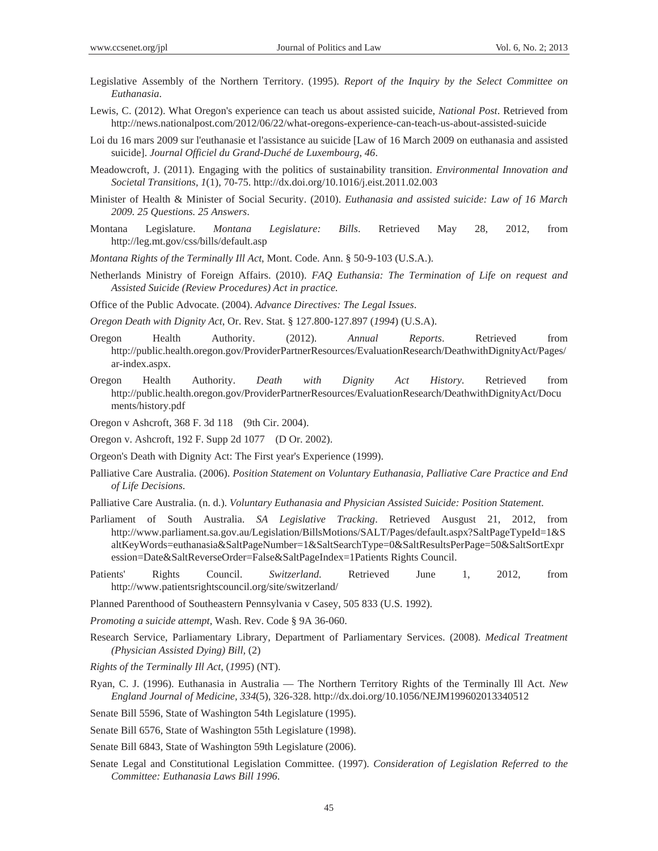- Legislative Assembly of the Northern Territory. (1995). *Report of the Inquiry by the Select Committee on Euthanasia*.
- Lewis, C. (2012). What Oregon's experience can teach us about assisted suicide, *National Post*. Retrieved from http://news.nationalpost.com/2012/06/22/what-oregons-experience-can-teach-us-about-assisted-suicide
- Loi du 16 mars 2009 sur l'euthanasie et l'assistance au suicide [Law of 16 March 2009 on euthanasia and assisted suicide]. *Journal Officiel du Grand-Duché de Luxembourg, 46*.
- Meadowcroft, J. (2011). Engaging with the politics of sustainability transition. *Environmental Innovation and Societal Transitions, 1*(1), 70-75. http://dx.doi.org/10.1016/j.eist.2011.02.003
- Minister of Health & Minister of Social Security. (2010). *Euthanasia and assisted suicide: Law of 16 March 2009. 25 Questions. 25 Answers*.
- Montana Legislature. *Montana Legislature: Bills*. Retrieved May 28, 2012, from http://leg.mt.gov/css/bills/default.asp
- *Montana Rights of the Terminally Ill Act*, Mont. Code. Ann. § 50-9-103 (U.S.A.).
- Netherlands Ministry of Foreign Affairs. (2010). *FAQ Euthansia: The Termination of Life on request and Assisted Suicide (Review Procedures) Act in practice*.

Office of the Public Advocate. (2004). *Advance Directives: The Legal Issues*.

*Oregon Death with Dignity Act*, Or. Rev. Stat. § 127.800-127.897 (*1994*) (U.S.A).

- Oregon Health Authority. (2012). *Annual Reports*. Retrieved from http://public.health.oregon.gov/ProviderPartnerResources/EvaluationResearch/DeathwithDignityAct/Pages/ ar-index.aspx.
- Oregon Health Authority. *Death with Dignity Act History*. Retrieved from http://public.health.oregon.gov/ProviderPartnerResources/EvaluationResearch/DeathwithDignityAct/Docu ments/history.pdf

Oregon v Ashcroft, 368 F. 3d 118 (9th Cir. 2004).

Oregon v. Ashcroft, 192 F. Supp 2d 1077 (D Or. 2002).

Orgeon's Death with Dignity Act: The First year's Experience (1999).

- Palliative Care Australia. (2006). *Position Statement on Voluntary Euthanasia, Palliative Care Practice and End of Life Decisions*.
- Palliative Care Australia. (n. d.). *Voluntary Euthanasia and Physician Assisted Suicide: Position Statement*.
- Parliament of South Australia. *SA Legislative Tracking*. Retrieved Ausgust 21, 2012, from http://www.parliament.sa.gov.au/Legislation/BillsMotions/SALT/Pages/default.aspx?SaltPageTypeId=1&S altKeyWords=euthanasia&SaltPageNumber=1&SaltSearchType=0&SaltResultsPerPage=50&SaltSortExpr ession=Date&SaltReverseOrder=False&SaltPageIndex=1Patients Rights Council.
- Patients' Rights Council. *Switzerland*. Retrieved June 1, 2012, from http://www.patientsrightscouncil.org/site/switzerland/

Planned Parenthood of Southeastern Pennsylvania v Casey, 505 833 (U.S. 1992).

*Promoting a suicide attempt*, Wash. Rev. Code § 9A 36-060.

- Research Service, Parliamentary Library, Department of Parliamentary Services. (2008). *Medical Treatment (Physician Assisted Dying) Bill,* (2)
- *Rights of the Terminally Ill Act*, (*1995*) (NT).
- Ryan, C. J. (1996). Euthanasia in Australia The Northern Territory Rights of the Terminally Ill Act. *New England Journal of Medicine, 334*(5), 326-328. http://dx.doi.org/10.1056/NEJM199602013340512

Senate Bill 5596, State of Washington 54th Legislature (1995).

Senate Bill 6576, State of Washington 55th Legislature (1998).

Senate Bill 6843, State of Washington 59th Legislature (2006).

Senate Legal and Constitutional Legislation Committee. (1997). *Consideration of Legislation Referred to the Committee: Euthanasia Laws Bill 1996*.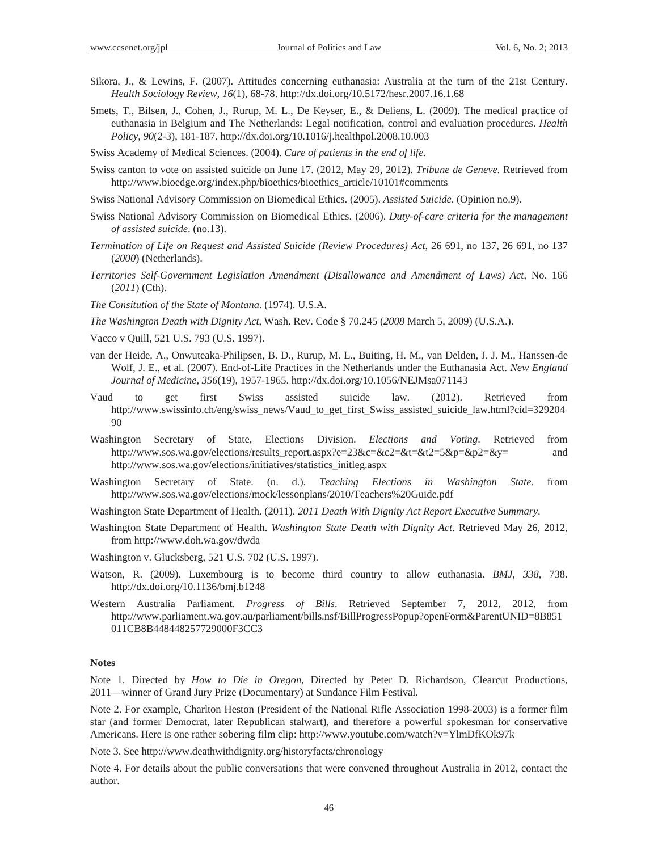- Sikora, J., & Lewins, F. (2007). Attitudes concerning euthanasia: Australia at the turn of the 21st Century. *Health Sociology Review, 16*(1), 68-78. http://dx.doi.org/10.5172/hesr.2007.16.1.68
- Smets, T., Bilsen, J., Cohen, J., Rurup, M. L., De Keyser, E., & Deliens, L. (2009). The medical practice of euthanasia in Belgium and The Netherlands: Legal notification, control and evaluation procedures. *Health Policy, 90*(2-3), 181-187. http://dx.doi.org/10.1016/j.healthpol.2008.10.003
- Swiss Academy of Medical Sciences. (2004). *Care of patients in the end of life*.
- Swiss canton to vote on assisted suicide on June 17. (2012, May 29, 2012). *Tribune de Geneve*. Retrieved from http://www.bioedge.org/index.php/bioethics/bioethics\_article/10101#comments
- Swiss National Advisory Commission on Biomedical Ethics. (2005). *Assisted Suicide*. (Opinion no.9).
- Swiss National Advisory Commission on Biomedical Ethics. (2006). *Duty-of-care criteria for the management of assisted suicide*. (no.13).
- *Termination of Life on Request and Assisted Suicide (Review Procedures) Act*, 26 691, no 137, 26 691, no 137 (*2000*) (Netherlands).
- *Territories Self-Government Legislation Amendment (Disallowance and Amendment of Laws) Act*, No. 166 (*2011*) (Cth).
- *The Consitution of the State of Montana*. (1974). U.S.A.
- *The Washington Death with Dignity Act*, Wash. Rev. Code § 70.245 (*2008* March 5, 2009) (U.S.A.).
- Vacco v Quill, 521 U.S. 793 (U.S. 1997).
- van der Heide, A., Onwuteaka-Philipsen, B. D., Rurup, M. L., Buiting, H. M., van Delden, J. J. M., Hanssen-de Wolf, J. E., et al. (2007). End-of-Life Practices in the Netherlands under the Euthanasia Act. *New England Journal of Medicine, 356*(19), 1957-1965. http://dx.doi.org/10.1056/NEJMsa071143
- Vaud to get first Swiss assisted suicide law. (2012). Retrieved from http://www.swissinfo.ch/eng/swiss\_news/Vaud\_to\_get\_first\_Swiss\_assisted\_suicide\_law.html?cid=329204 90
- Washington Secretary of State, Elections Division. *Elections and Voting*. Retrieved from http://www.sos.wa.gov/elections/results\_report.aspx?e=23&c=&c2=&t=&t2=5&p=&p2=&y= and http://www.sos.wa.gov/elections/initiatives/statistics\_initleg.aspx
- Washington Secretary of State. (n. d.). *Teaching Elections in Washington State*. from http://www.sos.wa.gov/elections/mock/lessonplans/2010/Teachers%20Guide.pdf
- Washington State Department of Health. (2011). *2011 Death With Dignity Act Report Executive Summary*.
- Washington State Department of Health. *Washington State Death with Dignity Act*. Retrieved May 26, 2012, from http://www.doh.wa.gov/dwda
- Washington v. Glucksberg, 521 U.S. 702 (U.S. 1997).
- Watson, R. (2009). Luxembourg is to become third country to allow euthanasia. *BMJ, 338*, 738. http://dx.doi.org/10.1136/bmj.b1248
- Western Australia Parliament. *Progress of Bills*. Retrieved September 7, 2012, 2012, from http://www.parliament.wa.gov.au/parliament/bills.nsf/BillProgressPopup?openForm&ParentUNID=8B851 011CB8B448448257729000F3CC3

#### **Notes**

Note 1. Directed by *How to Die in Oregon*, Directed by Peter D. Richardson, Clearcut Productions, 2011—winner of Grand Jury Prize (Documentary) at Sundance Film Festival.

Note 2. For example, Charlton Heston (President of the National Rifle Association 1998-2003) is a former film star (and former Democrat, later Republican stalwart), and therefore a powerful spokesman for conservative Americans. Here is one rather sobering film clip: http://www.youtube.com/watch?v=YlmDfKOk97k

Note 3. See http://www.deathwithdignity.org/historyfacts/chronology

Note 4. For details about the public conversations that were convened throughout Australia in 2012, contact the author.